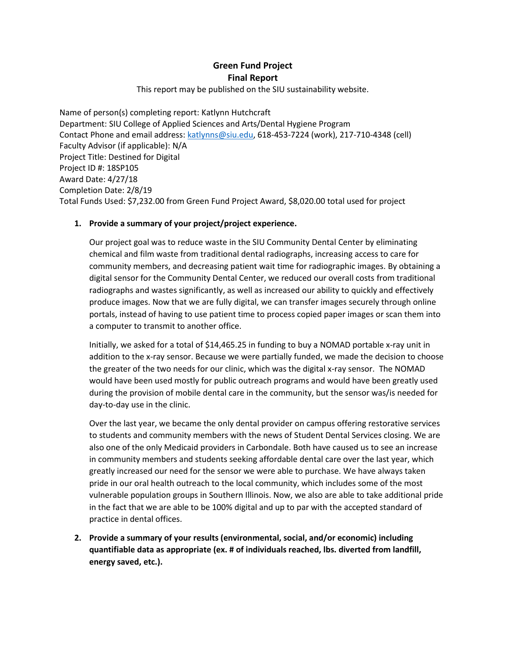## **Green Fund Project Final Report**

This report may be published on the SIU sustainability website.

Name of person(s) completing report: Katlynn Hutchcraft Department: SIU College of Applied Sciences and Arts/Dental Hygiene Program Contact Phone and email address: [katlynns@siu.edu,](mailto:katlynns@siu.edu) 618-453-7224 (work), 217-710-4348 (cell) Faculty Advisor (if applicable): N/A Project Title: Destined for Digital Project ID #: 18SP105 Award Date: 4/27/18 Completion Date: 2/8/19 Total Funds Used: \$7,232.00 from Green Fund Project Award, \$8,020.00 total used for project

## **1. Provide a summary of your project/project experience.**

Our project goal was to reduce waste in the SIU Community Dental Center by eliminating chemical and film waste from traditional dental radiographs, increasing access to care for community members, and decreasing patient wait time for radiographic images. By obtaining a digital sensor for the Community Dental Center, we reduced our overall costs from traditional radiographs and wastes significantly, as well as increased our ability to quickly and effectively produce images. Now that we are fully digital, we can transfer images securely through online portals, instead of having to use patient time to process copied paper images or scan them into a computer to transmit to another office.

Initially, we asked for a total of \$14,465.25 in funding to buy a NOMAD portable x-ray unit in addition to the x-ray sensor. Because we were partially funded, we made the decision to choose the greater of the two needs for our clinic, which was the digital x-ray sensor. The NOMAD would have been used mostly for public outreach programs and would have been greatly used during the provision of mobile dental care in the community, but the sensor was/is needed for day-to-day use in the clinic.

Over the last year, we became the only dental provider on campus offering restorative services to students and community members with the news of Student Dental Services closing. We are also one of the only Medicaid providers in Carbondale. Both have caused us to see an increase in community members and students seeking affordable dental care over the last year, which greatly increased our need for the sensor we were able to purchase. We have always taken pride in our oral health outreach to the local community, which includes some of the most vulnerable population groups in Southern Illinois. Now, we also are able to take additional pride in the fact that we are able to be 100% digital and up to par with the accepted standard of practice in dental offices.

**2. Provide a summary of your results (environmental, social, and/or economic) including quantifiable data as appropriate (ex. # of individuals reached, lbs. diverted from landfill, energy saved, etc.).**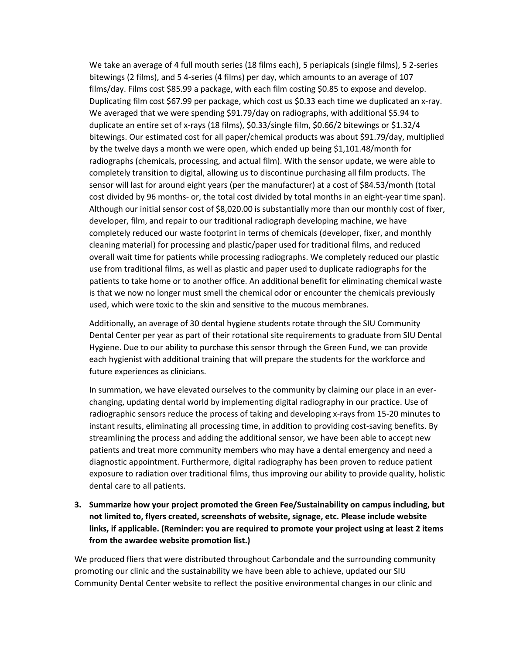We take an average of 4 full mouth series (18 films each), 5 periapicals (single films), 5 2-series bitewings (2 films), and 5 4-series (4 films) per day, which amounts to an average of 107 films/day. Films cost \$85.99 a package, with each film costing \$0.85 to expose and develop. Duplicating film cost \$67.99 per package, which cost us \$0.33 each time we duplicated an x-ray. We averaged that we were spending \$91.79/day on radiographs, with additional \$5.94 to duplicate an entire set of x-rays (18 films), \$0.33/single film, \$0.66/2 bitewings or \$1.32/4 bitewings. Our estimated cost for all paper/chemical products was about \$91.79/day, multiplied by the twelve days a month we were open, which ended up being \$1,101.48/month for radiographs (chemicals, processing, and actual film). With the sensor update, we were able to completely transition to digital, allowing us to discontinue purchasing all film products. The sensor will last for around eight years (per the manufacturer) at a cost of \$84.53/month (total cost divided by 96 months- or, the total cost divided by total months in an eight-year time span). Although our initial sensor cost of \$8,020.00 is substantially more than our monthly cost of fixer, developer, film, and repair to our traditional radiograph developing machine, we have completely reduced our waste footprint in terms of chemicals (developer, fixer, and monthly cleaning material) for processing and plastic/paper used for traditional films, and reduced overall wait time for patients while processing radiographs. We completely reduced our plastic use from traditional films, as well as plastic and paper used to duplicate radiographs for the patients to take home or to another office. An additional benefit for eliminating chemical waste is that we now no longer must smell the chemical odor or encounter the chemicals previously used, which were toxic to the skin and sensitive to the mucous membranes.

Additionally, an average of 30 dental hygiene students rotate through the SIU Community Dental Center per year as part of their rotational site requirements to graduate from SIU Dental Hygiene. Due to our ability to purchase this sensor through the Green Fund, we can provide each hygienist with additional training that will prepare the students for the workforce and future experiences as clinicians.

In summation, we have elevated ourselves to the community by claiming our place in an everchanging, updating dental world by implementing digital radiography in our practice. Use of radiographic sensors reduce the process of taking and developing x-rays from 15-20 minutes to instant results, eliminating all processing time, in addition to providing cost-saving benefits. By streamlining the process and adding the additional sensor, we have been able to accept new patients and treat more community members who may have a dental emergency and need a diagnostic appointment. Furthermore, digital radiography has been proven to reduce patient exposure to radiation over traditional films, thus improving our ability to provide quality, holistic dental care to all patients.

**3. Summarize how your project promoted the Green Fee/Sustainability on campus including, but not limited to, flyers created, screenshots of website, signage, etc. Please include website links, if applicable. (Reminder: you are required to promote your project using at least 2 items from the awardee website promotion list.)**

We produced fliers that were distributed throughout Carbondale and the surrounding community promoting our clinic and the sustainability we have been able to achieve, updated our SIU Community Dental Center website to reflect the positive environmental changes in our clinic and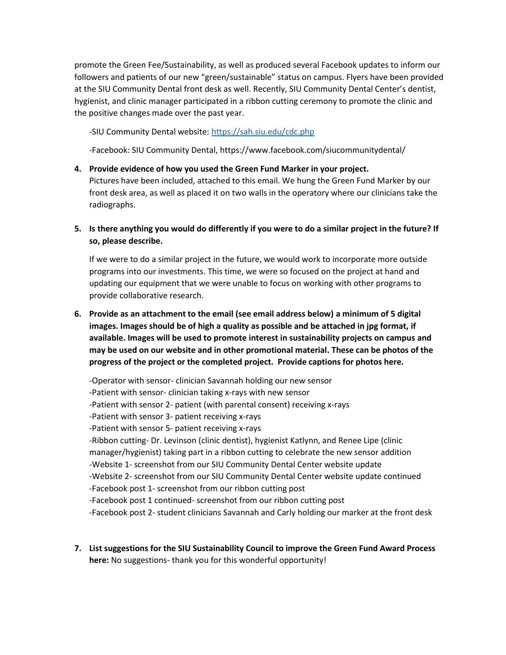promote the Green Fee/Sustainability, as well as produced several Facebook updates to inform our followers and patients of our new "green/sustainable" status on campus. Flyers have been provided at the SIU Community Dental front desk as well. Recently, SIU Community Dental Center's dentist, hygienist, and clinic manager participated in a ribbon cutting ceremony to promote the clinic and the positive changes made over the past year.

-SIU Community Dental website[: https://sah.siu.edu/cdc.php](https://sah.siu.edu/cdc.php)

-Facebook: SIU Community Dental, https://www.facebook.com/siucommunitydental/

- **4. Provide evidence of how you used the Green Fund Marker in your project.**  Pictures have been included, attached to this email. We hung the Green Fund Marker by our front desk area, as well as placed it on two walls in the operatory where our clinicians take the radiographs.
- **5. Is there anything you would do differently if you were to do a similar project in the future? If so, please describe.**

If we were to do a similar project in the future, we would work to incorporate more outside programs into our investments. This time, we were so focused on the project at hand and updating our equipment that we were unable to focus on working with other programs to provide collaborative research.

**6. Provide as an attachment to the email (see email address below) a minimum of 5 digital images. Images should be of high a quality as possible and be attached in jpg format, if available. Images will be used to promote interest in sustainability projects on campus and may be used on our website and in other promotional material. These can be photos of the progress of the project or the completed project. Provide captions for photos here.**

-Operator with sensor- clinician Savannah holding our new sensor -Patient with sensor- clinician taking x-rays with new sensor -Patient with sensor 2- patient (with parental consent) receiving x-rays -Patient with sensor 3- patient receiving x-rays -Patient with sensor 5- patient receiving x-rays -Ribbon cutting- Dr. Levinson (clinic dentist), hygienist Katlynn, and Renee Lipe (clinic manager/hygienist) taking part in a ribbon cutting to celebrate the new sensor addition -Website 1- screenshot from our SIU Community Dental Center website update -Website 2- screenshot from our SIU Community Dental Center website update continued -Facebook post 1- screenshot from our ribbon cutting post -Facebook post 1 continued- screenshot from our ribbon cutting post -Facebook post 2- student clinicians Savannah and Carly holding our marker at the front desk

**7. List suggestions for the SIU Sustainability Council to improve the Green Fund Award Process here:** No suggestions- thank you for this wonderful opportunity!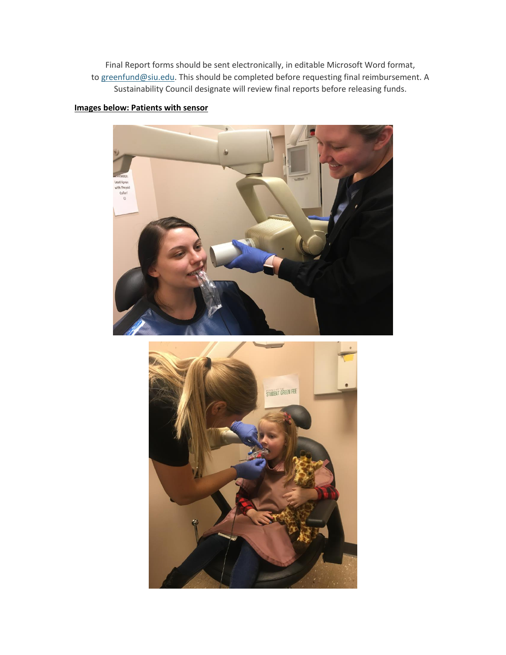Final Report forms should be sent electronically, in editable Microsoft Word format, to [greenfund@siu.edu.](mailto:greenfund@siu.edu) This should be completed before requesting final reimbursement. A Sustainability Council designate will review final reports before releasing funds.

## **Images below: Patients with sensor**